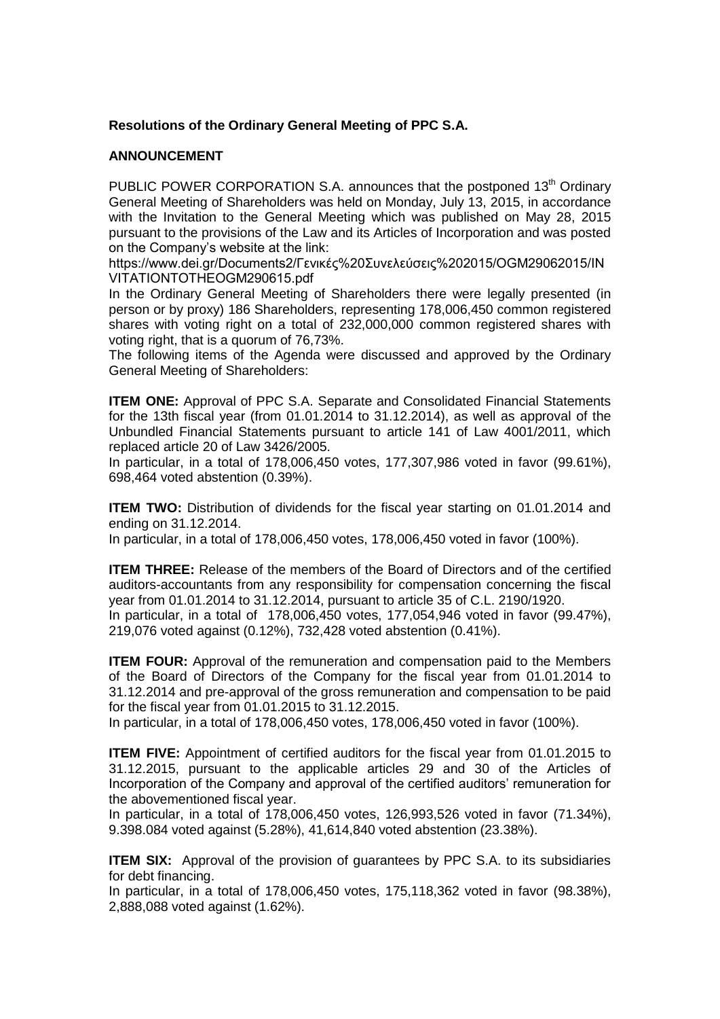## **Resolutions of the Ordinary General Meeting of PPC S.A.**

## **ANNOUNCEMENT**

PUBLIC POWER CORPORATION S.A. announces that the postponed  $13<sup>th</sup>$  Ordinary General Meeting of Shareholders was held on Monday, July 13, 2015, in accordance with the Invitation to the General Meeting which was published on May 28, 2015 pursuant to the provisions of the Law and its Articles of Incorporation and was posted on the Company's website at the link:

[https://www.dei.gr/Documents2/Γενικές%20Συνελεύσεις%202015/OGM29062015/IN](https://www.dei.gr/Documents2/Γενικές%20Συνελεύσεις%202015/OGM29062015/INVITATIONTOΤΗΕOGM290615.pdf) [VITATIONTOΤΗΕOGM290615.pdf](https://www.dei.gr/Documents2/Γενικές%20Συνελεύσεις%202015/OGM29062015/INVITATIONTOΤΗΕOGM290615.pdf)

In the Ordinary General Meeting of Shareholders there were legally presented (in person or by proxy) 186 Shareholders, representing 178,006,450 common registered shares with voting right on a total of 232,000,000 common registered shares with voting right, that is a quorum of 76,73%.

The following items of the Agenda were discussed and approved by the Ordinary General Meeting of Shareholders:

**ITEM ONE:** Approval of PPC S.A. Separate and Consolidated Financial Statements for the 13th fiscal year (from 01.01.2014 to 31.12.2014), as well as approval of the Unbundled Financial Statements pursuant to article 141 of Law 4001/2011, which replaced article 20 of Law 3426/2005.

In particular, in a total of 178,006,450 votes, 177,307,986 voted in favor (99.61%), 698,464 voted abstention (0.39%).

**ITEM TWO:** Distribution of dividends for the fiscal year starting on 01.01.2014 and ending on 31.12.2014.

In particular, in a total of 178,006,450 votes, 178,006,450 voted in favor (100%).

**ITEM THREE:** Release of the members of the Board of Directors and of the certified auditors-accountants from any responsibility for compensation concerning the fiscal year from 01.01.2014 to 31.12.2014, pursuant to article 35 of C.L. 2190/1920. In particular, in a total of 178,006,450 votes, 177,054,946 voted in favor (99.47%), 219,076 voted against (0.12%), 732,428 voted abstention (0.41%).

**ITEM FOUR:** Approval of the remuneration and compensation paid to the Members of the Board of Directors of the Company for the fiscal year from 01.01.2014 to 31.12.2014 and pre-approval of the gross remuneration and compensation to be paid for the fiscal year from 01.01.2015 to 31.12.2015.

In particular, in a total of 178,006,450 votes, 178,006,450 voted in favor (100%).

**ITEM FIVE:** Appointment of certified auditors for the fiscal year from 01.01.2015 to 31.12.2015, pursuant to the applicable articles 29 and 30 of the Articles of Incorporation of the Company and approval of the certified auditors' remuneration for the abovementioned fiscal year.

In particular, in a total of 178,006,450 votes, 126,993,526 voted in favor (71.34%), 9.398.084 voted against (5.28%), 41,614,840 voted abstention (23.38%).

**ITEM SIX:** Approval of the provision of quarantees by PPC S.A. to its subsidiaries for debt financing.

In particular, in a total of 178,006,450 votes, 175,118,362 voted in favor (98.38%), 2,888,088 voted against (1.62%).